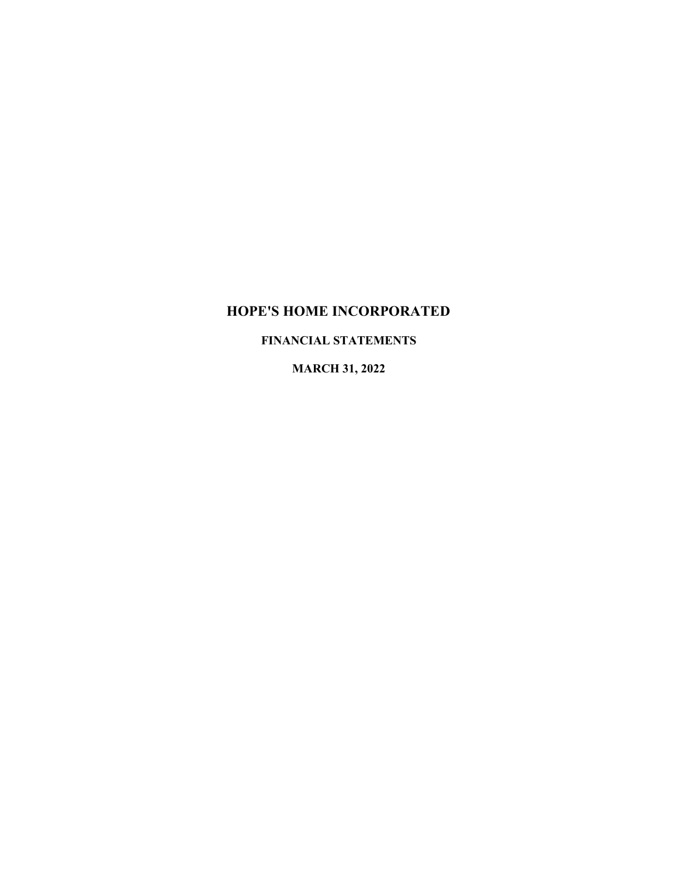# **HOPE'S HOME INCORPORATED**

# **FINANCIAL STATEMENTS**

**MARCH 31, 2022**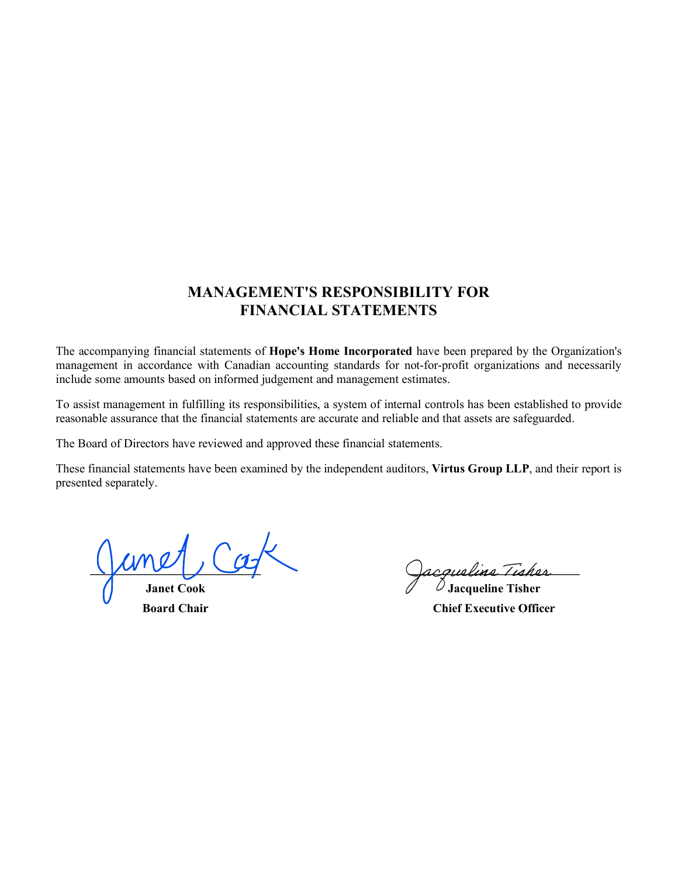# **MANAGEMENT'S RESPONSIBILITY FOR FINANCIAL STATEMENTS**

The accompanying financial statements of **Hope's Home Incorporated** have been prepared by the Organization's management in accordance with Canadian accounting standards for not-for-profit organizations and necessarily include some amounts based on informed judgement and management estimates.

To assist management in fulfilling its responsibilities, a system of internal controls has been established to provide reasonable assurance that the financial statements are accurate and reliable and that assets are safeguarded.

The Board of Directors have reviewed and approved these financial statements.

These financial statements have been examined by the independent auditors, **Virtus Group LLP**, and their report is presented separately.

**\_\_\_\_\_\_\_\_\_\_\_\_\_\_\_\_\_\_\_\_\_\_\_\_\_\_\_\_ \_\_\_\_\_\_\_\_\_\_\_\_\_\_\_\_\_\_\_\_\_\_\_\_\_\_\_\_** *Janet Cook* **<b>***Janet Cook Jacqueline Tisher* 

**Board Chair Chief Executive Officer**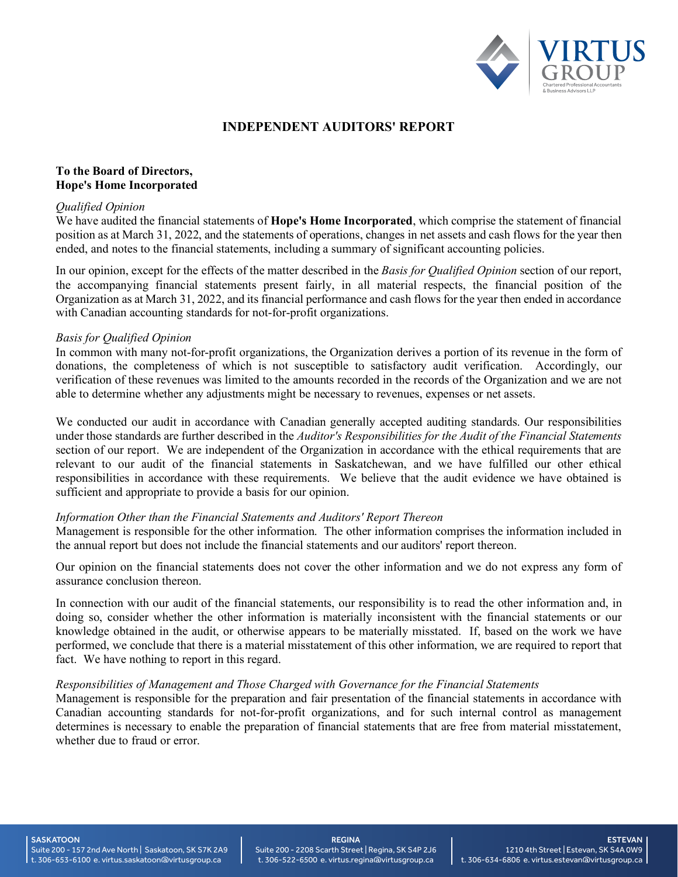

#### **INDEPENDENT AUDITORS' REPORT**

#### **To the Board of Directors, Hope's Home Incorporated**

#### *Qualified Opinion*

We have audited the financial statements of **Hope's Home Incorporated**, which comprise the statement of financial position as at March 31, 2022, and the statements of operations, changes in net assets and cash flows for the year then ended, and notes to the financial statements, including a summary of significant accounting policies.

In our opinion, except for the effects of the matter described in the *Basis for Qualified Opinion* section of our report, the accompanying financial statements present fairly, in all material respects, the financial position of the Organization as at March 31, 2022, and its financial performance and cash flows for the year then ended in accordance with Canadian accounting standards for not-for-profit organizations.

#### *Basis for Qualified Opinion*

In common with many not-for-profit organizations, the Organization derives a portion of its revenue in the form of donations, the completeness of which is not susceptible to satisfactory audit verification. Accordingly, our verification of these revenues was limited to the amounts recorded in the records of the Organization and we are not able to determine whether any adjustments might be necessary to revenues, expenses or net assets.

We conducted our audit in accordance with Canadian generally accepted auditing standards. Our responsibilities under those standards are further described in the *Auditor's Responsibilities for the Audit of the Financial Statements* section of our report. We are independent of the Organization in accordance with the ethical requirements that are relevant to our audit of the financial statements in Saskatchewan, and we have fulfilled our other ethical responsibilities in accordance with these requirements. We believe that the audit evidence we have obtained is sufficient and appropriate to provide a basis for our opinion.

#### *Information Other than the Financial Statements and Auditors' Report Thereon*

Management is responsible for the other information. The other information comprises the information included in the annual report but does not include the financial statements and our auditors' report thereon.

Our opinion on the financial statements does not cover the other information and we do not express any form of assurance conclusion thereon.

In connection with our audit of the financial statements, our responsibility is to read the other information and, in doing so, consider whether the other information is materially inconsistent with the financial statements or our knowledge obtained in the audit, or otherwise appears to be materially misstated. If, based on the work we have performed, we conclude that there is a material misstatement of this other information, we are required to report that fact. We have nothing to report in this regard.

#### *Responsibilities of Management and Those Charged with Governance for the Financial Statements*

Management is responsible for the preparation and fair presentation of the financial statements in accordance with Canadian accounting standards for not-for-profit organizations, and for such internal control as management determines is necessary to enable the preparation of financial statements that are free from material misstatement, whether due to fraud or error.

**SASKATOON** 

Suite 200 - 157 2nd Ave North | Saskatoon, SK S7K 2A9 t. 306-653-6100 e. virtus.saskatoon@virtusgroup.ca

#### REGINA Suite 200 - 2208 Scarth Street | Regina, SK S4P 2J6 t. 306-522-6500 e. virtus.regina@virtusgroup.ca

ESTEVAN 1210 4th Street | Estevan, SK S4A 0W9 t. 306-634-6806 e. virtus.estevan@virtusgroup.ca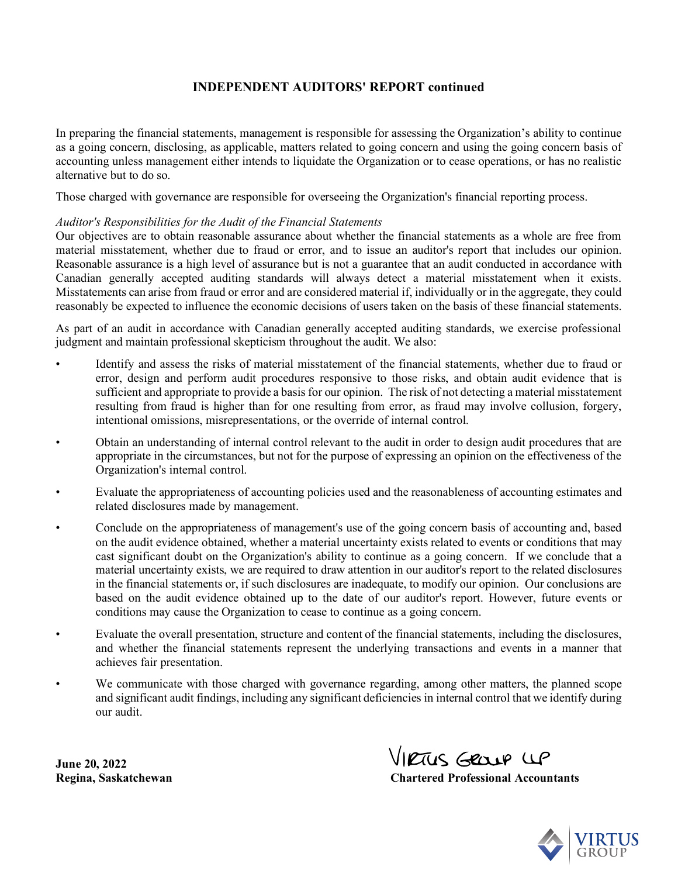## **INDEPENDENT AUDITORS' REPORT continued**

In preparing the financial statements, management is responsible for assessing the Organization's ability to continue as a going concern, disclosing, as applicable, matters related to going concern and using the going concern basis of accounting unless management either intends to liquidate the Organization or to cease operations, or has no realistic alternative but to do so.

Those charged with governance are responsible for overseeing the Organization's financial reporting process.

#### *Auditor's Responsibilities for the Audit of the Financial Statements*

Our objectives are to obtain reasonable assurance about whether the financial statements as a whole are free from material misstatement, whether due to fraud or error, and to issue an auditor's report that includes our opinion. Reasonable assurance is a high level of assurance but is not a guarantee that an audit conducted in accordance with Canadian generally accepted auditing standards will always detect a material misstatement when it exists. Misstatements can arise from fraud or error and are considered material if, individually or in the aggregate, they could reasonably be expected to influence the economic decisions of users taken on the basis of these financial statements.

As part of an audit in accordance with Canadian generally accepted auditing standards, we exercise professional judgment and maintain professional skepticism throughout the audit. We also:

- Identify and assess the risks of material misstatement of the financial statements, whether due to fraud or error, design and perform audit procedures responsive to those risks, and obtain audit evidence that is sufficient and appropriate to provide a basis for our opinion. The risk of not detecting a material misstatement resulting from fraud is higher than for one resulting from error, as fraud may involve collusion, forgery, intentional omissions, misrepresentations, or the override of internal control.
- Obtain an understanding of internal control relevant to the audit in order to design audit procedures that are appropriate in the circumstances, but not for the purpose of expressing an opinion on the effectiveness of the Organization's internal control.
- Evaluate the appropriateness of accounting policies used and the reasonableness of accounting estimates and related disclosures made by management.
- Conclude on the appropriateness of management's use of the going concern basis of accounting and, based on the audit evidence obtained, whether a material uncertainty exists related to events or conditions that may cast significant doubt on the Organization's ability to continue as a going concern. If we conclude that a material uncertainty exists, we are required to draw attention in our auditor's report to the related disclosures in the financial statements or, if such disclosures are inadequate, to modify our opinion. Our conclusions are based on the audit evidence obtained up to the date of our auditor's report. However, future events or conditions may cause the Organization to cease to continue as a going concern.
- Evaluate the overall presentation, structure and content of the financial statements, including the disclosures, and whether the financial statements represent the underlying transactions and events in a manner that achieves fair presentation.
- We communicate with those charged with governance regarding, among other matters, the planned scope and significant audit findings, including any significant deficiencies in internal control that we identify during our audit.

**June 20, 2022**

VIRTUS GROUP UP

**Regina, Saskatchewan Chartered Professional Accountants**

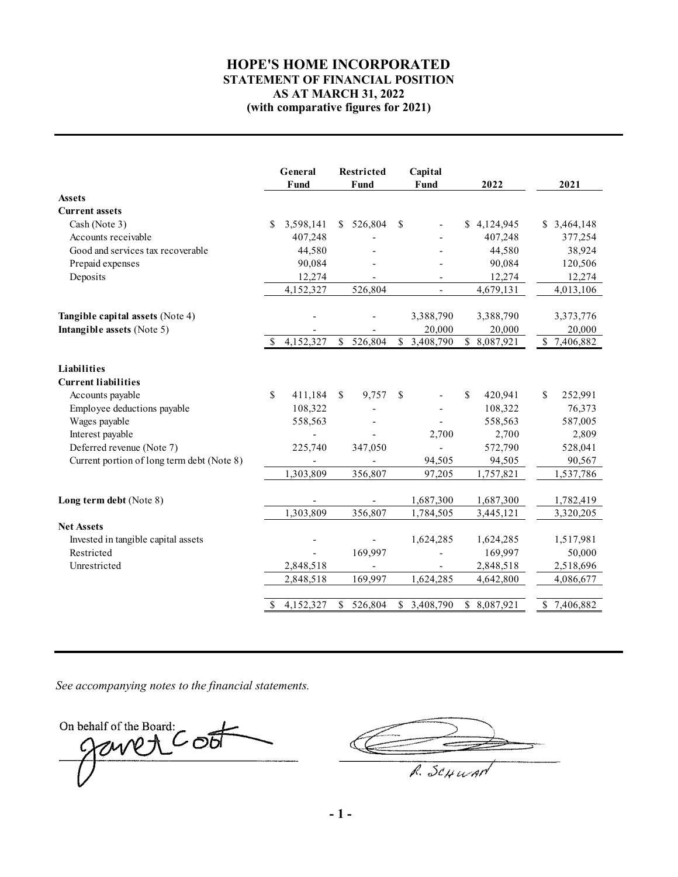### **HOPE'S HOME INCORPORATED STATEMENT OF FINANCIAL POSITION AS AT MARCH 31, 2022 (with comparative figures for 2021)**

|                                            | General<br>Fund |           | Restricted<br>Fund |           | Capital<br>Fund |                           | 2022 |             | 2021          |
|--------------------------------------------|-----------------|-----------|--------------------|-----------|-----------------|---------------------------|------|-------------|---------------|
| <b>Assets</b>                              |                 |           |                    |           |                 |                           |      |             |               |
| <b>Current assets</b>                      |                 |           |                    |           |                 |                           |      |             |               |
| Cash (Note 3)                              | \$              | 3,598,141 | \$.                | 526,804   | S               |                           |      | \$4,124,945 | \$3,464,148   |
| Accounts receivable                        |                 | 407,248   |                    |           |                 |                           |      | 407,248     | 377,254       |
| Good and services tax recoverable          |                 | 44,580    |                    |           |                 |                           |      | 44,580      | 38,924        |
| Prepaid expenses                           |                 | 90,084    |                    |           |                 |                           |      | 90,084      | 120,506       |
| Deposits                                   |                 | 12,274    |                    |           |                 |                           |      | 12,274      | 12,274        |
|                                            |                 | 4,152,327 |                    | 526,804   |                 | $\overline{\phantom{a}}$  |      | 4,679,131   | 4,013,106     |
| Tangible capital assets (Note 4)           |                 |           |                    |           |                 | 3,388,790                 |      | 3,388,790   | 3,373,776     |
| Intangible assets (Note 5)                 |                 |           |                    |           |                 | 20,000                    |      | 20,000      | 20,000        |
|                                            | <sup>\$</sup>   | 4,152,327 |                    | \$526,804 |                 | $\overline{\$}$ 3,408,790 |      | \$8,087,921 | \$7,406,882   |
| Liabilities                                |                 |           |                    |           |                 |                           |      |             |               |
| <b>Current liabilities</b>                 |                 |           |                    |           |                 |                           |      |             |               |
| Accounts payable                           | \$              | 411,184   | S                  | 9,757     | \$              |                           | \$   | 420,941     | \$<br>252,991 |
| Employee deductions payable                |                 | 108,322   |                    |           |                 |                           |      | 108,322     | 76,373        |
| Wages payable                              |                 | 558,563   |                    |           |                 |                           |      | 558,563     | 587,005       |
| Interest payable                           |                 |           |                    |           |                 | 2,700                     |      | 2,700       | 2,809         |
| Deferred revenue (Note 7)                  |                 | 225,740   |                    | 347,050   |                 |                           |      | 572,790     | 528,041       |
| Current portion of long term debt (Note 8) |                 |           |                    |           |                 | 94,505                    |      | 94,505      | 90,567        |
|                                            |                 | 1,303,809 |                    | 356,807   |                 | 97,205                    |      | 1,757,821   | 1,537,786     |
| Long term debt (Note 8)                    |                 |           |                    |           |                 | 1,687,300                 |      | 1,687,300   | 1,782,419     |
|                                            |                 | 1,303,809 |                    | 356,807   |                 | 1,784,505                 |      | 3,445,121   | 3,320,205     |
| <b>Net Assets</b>                          |                 |           |                    |           |                 |                           |      |             |               |
| Invested in tangible capital assets        |                 |           |                    |           |                 | 1,624,285                 |      | 1,624,285   | 1,517,981     |
| Restricted                                 |                 |           |                    | 169,997   |                 |                           |      | 169,997     | 50,000        |
| Unrestricted                               |                 | 2,848,518 |                    |           |                 |                           |      | 2,848,518   | 2,518,696     |
|                                            |                 | 2,848,518 |                    | 169,997   |                 | 1,624,285                 |      | 4,642,800   | 4,086,677     |
|                                            | \$              | 4,152,327 |                    | \$526,804 |                 | \$ 3,408,790              |      | \$8,087,921 | \$7,406,882   |

On behalf of the Board:  $\frac{1}{\sqrt{2\pi}}$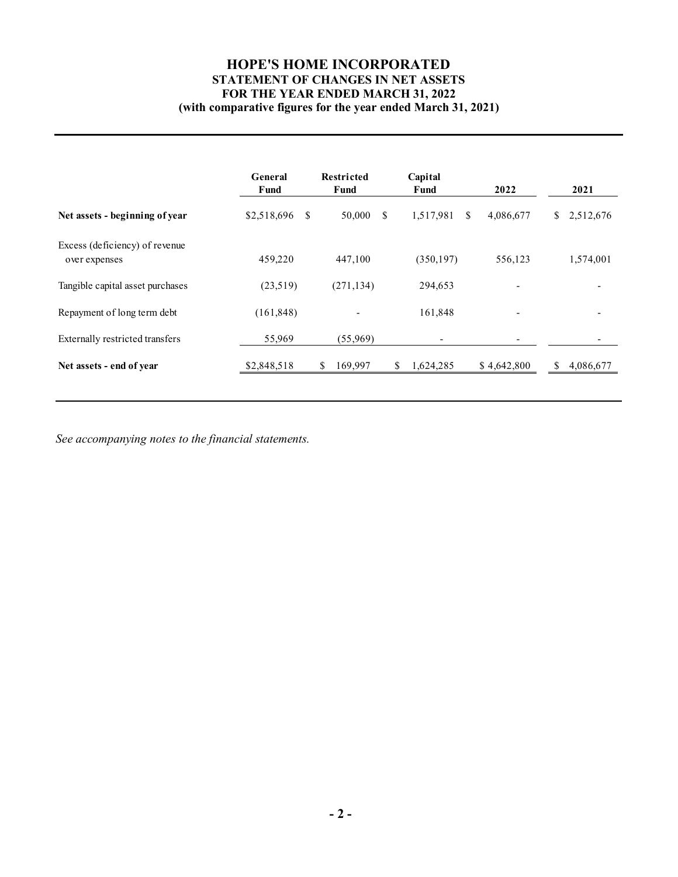# **HOPE'S HOME INCORPORATED STATEMENT OF CHANGES IN NET ASSETS FOR THE YEAR ENDED MARCH 31, 2022 (with comparative figures for the year ended March 31, 2021)**

|                                                 | General<br>Fund | <b>Restricted</b><br>Fund                | Capital<br>Fund            | 2022        | 2021            |
|-------------------------------------------------|-----------------|------------------------------------------|----------------------------|-------------|-----------------|
| Net assets - beginning of year                  | \$2,518,696     | 50,000<br><sup>\$</sup><br><sup>\$</sup> | 1,517,981<br><sup>\$</sup> | 4,086,677   | 2,512,676<br>\$ |
| Excess (deficiency) of revenue<br>over expenses | 459,220         | 447,100                                  | (350, 197)                 | 556,123     | 1,574,001       |
| Tangible capital asset purchases                | (23,519)        | (271, 134)                               | 294,653                    |             |                 |
| Repayment of long term debt                     | (161, 848)      |                                          | 161,848                    |             |                 |
| Externally restricted transfers                 | 55,969          | (55,969)                                 |                            |             |                 |
| Net assets - end of year                        | \$2,848,518     | 169,997<br><sup>\$</sup>                 | 1,624,285<br>S.            | \$4,642,800 | \$<br>4,086,677 |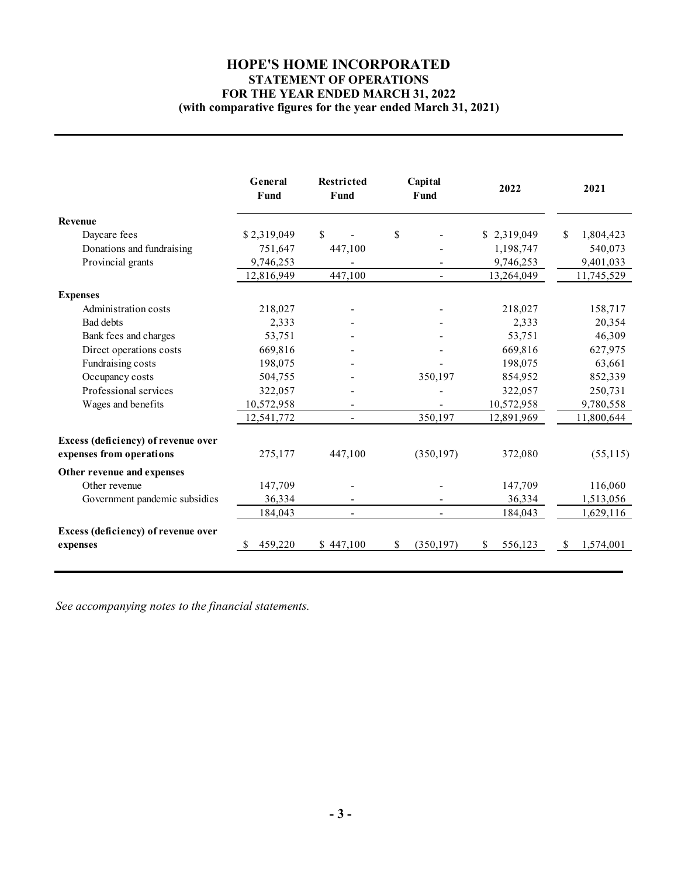### **HOPE'S HOME INCORPORATED STATEMENT OF OPERATIONS FOR THE YEAR ENDED MARCH 31, 2022 (with comparative figures for the year ended March 31, 2021)**

| General<br>Fund                     |                          | <b>Restricted</b><br>Fund | Capital<br>Fund  | 2022          | 2021            |
|-------------------------------------|--------------------------|---------------------------|------------------|---------------|-----------------|
| Revenue                             |                          |                           |                  |               |                 |
| Daycare fees                        | \$2,319,049              | \$                        | \$               | \$2,319,049   | \$<br>1,804,423 |
| Donations and fundraising           | 751,647                  | 447,100                   |                  | 1,198,747     | 540,073         |
| Provincial grants                   | 9,746,253                |                           |                  | 9,746,253     | 9,401,033       |
|                                     | 12,816,949               | 447,100                   |                  | 13,264,049    | 11,745,529      |
| <b>Expenses</b>                     |                          |                           |                  |               |                 |
| Administration costs                | 218,027                  |                           |                  | 218,027       | 158,717         |
| Bad debts                           | 2,333                    |                           |                  | 2,333         | 20,354          |
| Bank fees and charges               | 53,751                   |                           |                  | 53,751        | 46,309          |
| Direct operations costs             | 669,816                  |                           |                  | 669,816       | 627,975         |
| Fundraising costs                   | 198,075                  |                           |                  | 198,075       | 63,661          |
| Occupancy costs                     | 504,755                  |                           | 350,197          | 854,952       | 852,339         |
| Professional services               | 322,057                  |                           |                  | 322,057       | 250,731         |
| Wages and benefits                  | 10,572,958               |                           |                  | 10,572,958    | 9,780,558       |
|                                     | 12,541,772               | $\blacksquare$            | 350,197          | 12,891,969    | 11,800,644      |
| Excess (deficiency) of revenue over |                          |                           |                  |               |                 |
| expenses from operations            | 275,177                  | 447,100                   | (350, 197)       | 372,080       | (55, 115)       |
| Other revenue and expenses          |                          |                           |                  |               |                 |
| Other revenue                       | 147,709                  |                           |                  | 147,709       | 116,060         |
| Government pandemic subsidies       | 36,334                   |                           |                  | 36,334        | 1,513,056       |
|                                     | 184,043                  | $\blacksquare$            | $\blacksquare$   | 184,043       | 1,629,116       |
| Excess (deficiency) of revenue over |                          |                           |                  |               |                 |
| expenses                            | 459,220<br><sup>\$</sup> | \$447,100                 | \$<br>(350, 197) | \$<br>556,123 | \$<br>1,574,001 |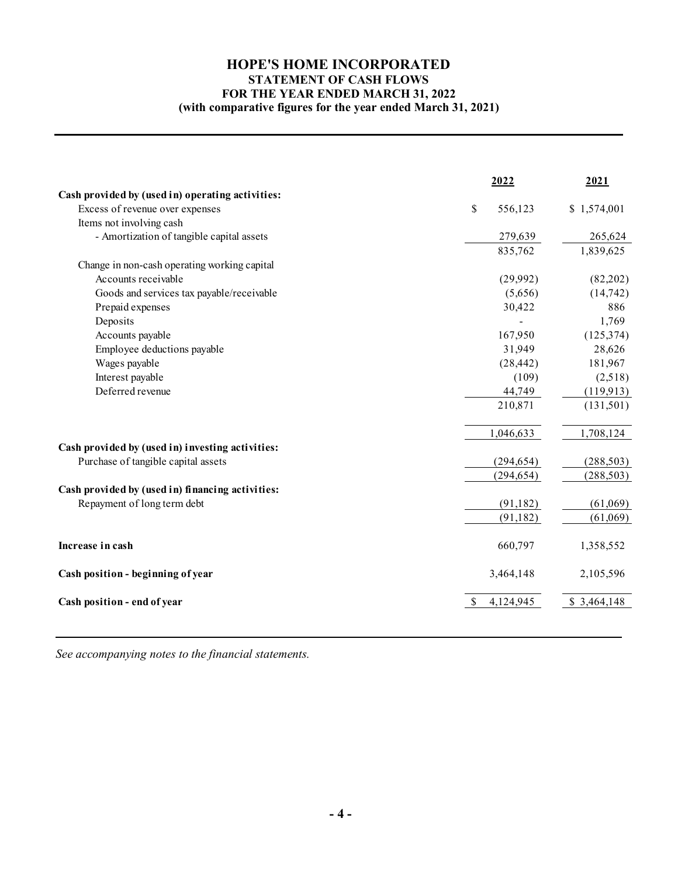### **HOPE'S HOME INCORPORATED STATEMENT OF CASH FLOWS FOR THE YEAR ENDED MARCH 31, 2022 (with comparative figures for the year ended March 31, 2021)**

|                                                  | 2022                      | 2021        |
|--------------------------------------------------|---------------------------|-------------|
| Cash provided by (used in) operating activities: |                           |             |
| Excess of revenue over expenses                  | \$<br>556,123             | \$1,574,001 |
| Items not involving cash                         |                           |             |
| - Amortization of tangible capital assets        | 279,639                   | 265,624     |
|                                                  | 835,762                   | 1,839,625   |
| Change in non-cash operating working capital     |                           |             |
| Accounts receivable                              | (29,992)                  | (82,202)    |
| Goods and services tax payable/receivable        | (5,656)                   | (14, 742)   |
| Prepaid expenses                                 | 30,422                    | 886         |
| Deposits                                         |                           | 1,769       |
| Accounts payable                                 | 167,950                   | (125, 374)  |
| Employee deductions payable                      | 31,949                    | 28,626      |
| Wages payable                                    | (28, 442)                 | 181,967     |
| Interest payable                                 | (109)                     | (2,518)     |
| Deferred revenue                                 | 44,749                    | (119, 913)  |
|                                                  | 210,871                   | (131,501)   |
|                                                  | 1,046,633                 | 1,708,124   |
| Cash provided by (used in) investing activities: |                           |             |
| Purchase of tangible capital assets              | (294, 654)                | (288, 503)  |
|                                                  | (294, 654)                | (288, 503)  |
| Cash provided by (used in) financing activities: |                           |             |
| Repayment of long term debt                      | (91, 182)                 | (61,069)    |
|                                                  | (91, 182)                 | (61,069)    |
| Increase in cash                                 | 660,797                   | 1,358,552   |
| Cash position - beginning of year                | 3,464,148                 | 2,105,596   |
| Cash position - end of year                      | 4,124,945<br>$\mathbb{S}$ | \$3,464,148 |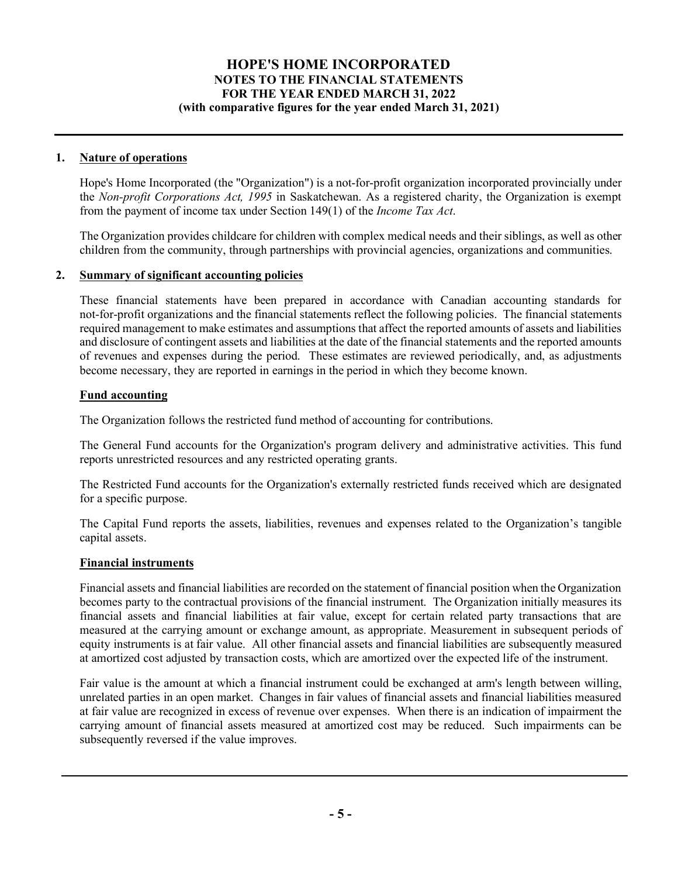#### **HOPE'S HOME INCORPORATED NOTES TO THE FINANCIAL STATEMENTS FOR THE YEAR ENDED MARCH 31, 2022 (with comparative figures for the year ended March 31, 2021)**

#### **1. Nature of operations**

 Hope's Home Incorporated (the "Organization") is a not-for-profit organization incorporated provincially under the *Non-profit Corporations Act, 1995* in Saskatchewan. As a registered charity, the Organization is exempt from the payment of income tax under Section 149(1) of the *Income Tax Act*.

 The Organization provides childcare for children with complex medical needs and their siblings, as well as other children from the community, through partnerships with provincial agencies, organizations and communities.

#### **2. Summary of significant accounting policies**

 These financial statements have been prepared in accordance with Canadian accounting standards for not-for-profit organizations and the financial statements reflect the following policies. The financial statements required management to make estimates and assumptions that affect the reported amounts of assets and liabilities and disclosure of contingent assets and liabilities at the date of the financial statements and the reported amounts of revenues and expenses during the period. These estimates are reviewed periodically, and, as adjustments become necessary, they are reported in earnings in the period in which they become known.

#### **Fund accounting**

The Organization follows the restricted fund method of accounting for contributions.

The General Fund accounts for the Organization's program delivery and administrative activities. This fund reports unrestricted resources and any restricted operating grants.

The Restricted Fund accounts for the Organization's externally restricted funds received which are designated for a specific purpose.

The Capital Fund reports the assets, liabilities, revenues and expenses related to the Organization's tangible capital assets.

#### **Financial instruments**

 Financial assets and financial liabilities are recorded on the statement of financial position when the Organization becomes party to the contractual provisions of the financial instrument. The Organization initially measures its financial assets and financial liabilities at fair value, except for certain related party transactions that are measured at the carrying amount or exchange amount, as appropriate. Measurement in subsequent periods of equity instruments is at fair value. All other financial assets and financial liabilities are subsequently measured at amortized cost adjusted by transaction costs, which are amortized over the expected life of the instrument.

 Fair value is the amount at which a financial instrument could be exchanged at arm's length between willing, unrelated parties in an open market. Changes in fair values of financial assets and financial liabilities measured at fair value are recognized in excess of revenue over expenses. When there is an indication of impairment the carrying amount of financial assets measured at amortized cost may be reduced. Such impairments can be subsequently reversed if the value improves.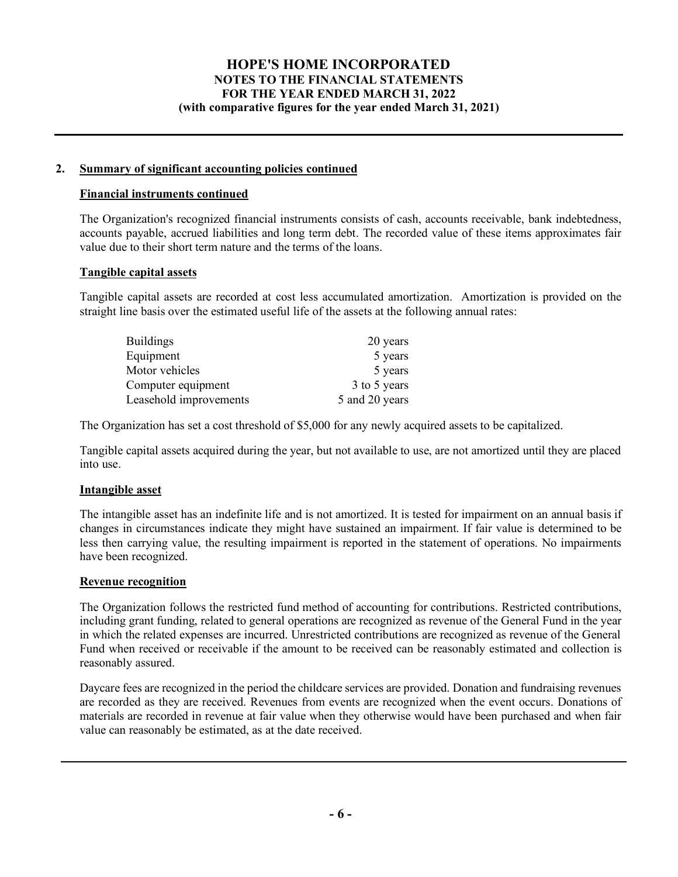#### **2. Summary of significant accounting policies continued**

#### **Financial instruments continued**

 The Organization's recognized financial instruments consists of cash, accounts receivable, bank indebtedness, accounts payable, accrued liabilities and long term debt. The recorded value of these items approximates fair value due to their short term nature and the terms of the loans.

#### **Tangible capital assets**

Tangible capital assets are recorded at cost less accumulated amortization. Amortization is provided on the straight line basis over the estimated useful life of the assets at the following annual rates:

| <b>Buildings</b>       | 20 years       |
|------------------------|----------------|
| Equipment              | 5 years        |
| Motor vehicles         | 5 years        |
| Computer equipment     | 3 to 5 years   |
| Leasehold improvements | 5 and 20 years |

The Organization has set a cost threshold of \$5,000 for any newly acquired assets to be capitalized.

Tangible capital assets acquired during the year, but not available to use, are not amortized until they are placed into use.

#### **Intangible asset**

The intangible asset has an indefinite life and is not amortized. It is tested for impairment on an annual basis if changes in circumstances indicate they might have sustained an impairment. If fair value is determined to be less then carrying value, the resulting impairment is reported in the statement of operations. No impairments have been recognized.

#### **Revenue recognition**

The Organization follows the restricted fund method of accounting for contributions. Restricted contributions, including grant funding, related to general operations are recognized as revenue of the General Fund in the year in which the related expenses are incurred. Unrestricted contributions are recognized as revenue of the General Fund when received or receivable if the amount to be received can be reasonably estimated and collection is reasonably assured.

Daycare fees are recognized in the period the childcare services are provided. Donation and fundraising revenues are recorded as they are received. Revenues from events are recognized when the event occurs. Donations of materials are recorded in revenue at fair value when they otherwise would have been purchased and when fair value can reasonably be estimated, as at the date received.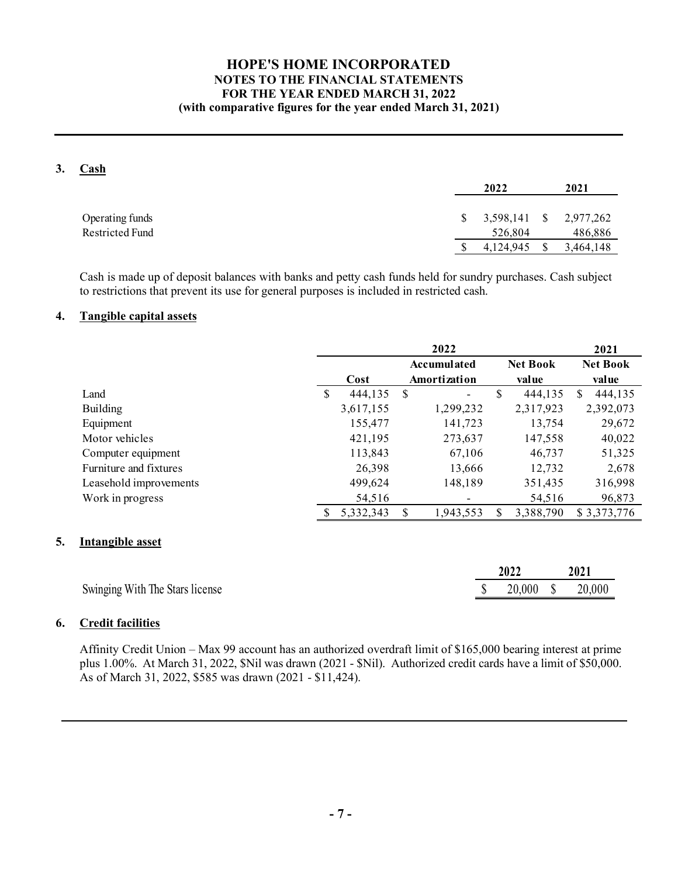#### **HOPE'S HOME INCORPORATED NOTES TO THE FINANCIAL STATEMENTS FOR THE YEAR ENDED MARCH 31, 2022 (with comparative figures for the year ended March 31, 2021)**

#### **3. Cash**

|                 |              | 2022      |     | 2021                   |
|-----------------|--------------|-----------|-----|------------------------|
| Operating funds | <sup>S</sup> |           |     | 3,598,141 \$ 2,977,262 |
| Restricted Fund |              | 526,804   |     | 486,886                |
|                 |              | 4.124.945 | - S | 3,464,148              |
|                 |              |           |     |                        |

Cash is made up of deposit balances with banks and petty cash funds held for sundry purchases. Cash subject to restrictions that prevent its use for general purposes is included in restricted cash.

#### **4. Tangible capital assets**

|                        |   |           | 2021 |                    |     |                 |                 |
|------------------------|---|-----------|------|--------------------|-----|-----------------|-----------------|
|                        |   |           |      | <b>Accumulated</b> |     | <b>Net Book</b> | <b>Net Book</b> |
|                        |   | Cost      |      | Amortization       |     | <b>value</b>    | value           |
| Land                   | S | 444,135   | S    |                    | \$. | 444,135         | S<br>444,135    |
| <b>Building</b>        |   | 3,617,155 |      | 1,299,232          |     | 2,317,923       | 2,392,073       |
| Equipment              |   | 155,477   |      | 141,723            |     | 13,754          | 29,672          |
| Motor vehicles         |   | 421,195   |      | 273,637            |     | 147,558         | 40,022          |
| Computer equipment     |   | 113,843   |      | 67,106             |     | 46,737          | 51,325          |
| Furniture and fixtures |   | 26,398    |      | 13,666             |     | 12,732          | 2,678           |
| Leasehold improvements |   | 499,624   |      | 148,189            |     | 351,435         | 316,998         |
| Work in progress       |   | 54,516    |      |                    |     | 54,516          | 96,873          |
|                        |   | 5,332,343 | S    | 1,943,553          | S   | 3,388,790       | \$3,373,776     |
|                        |   |           |      |                    |     |                 |                 |

#### **5. Intangible asset**

|                                 | 2022   | 2021   |
|---------------------------------|--------|--------|
| Swinging With The Stars license | 20,000 | 20,000 |

#### **6. Credit facilities**

 Affinity Credit Union – Max 99 account has an authorized overdraft limit of \$165,000 bearing interest at prime plus 1.00%. At March 31, 2022, \$Nil was drawn (2021 - \$Nil). Authorized credit cards have a limit of \$50,000. As of March 31, 2022, \$585 was drawn (2021 - \$11,424).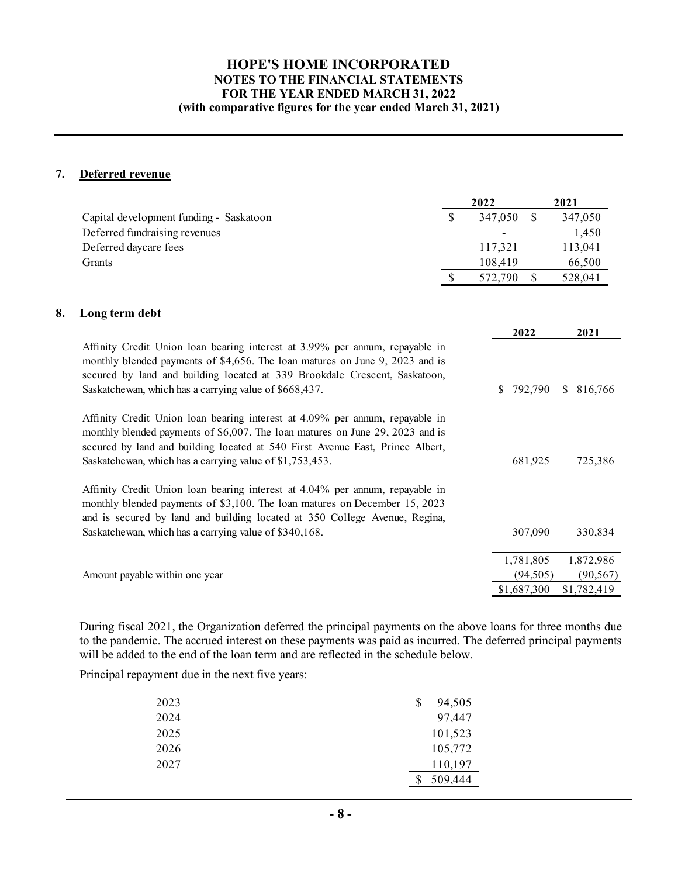## **HOPE'S HOME INCORPORATED NOTES TO THE FINANCIAL STATEMENTS FOR THE YEAR ENDED MARCH 31, 2022 (with comparative figures for the year ended March 31, 2021)**

#### **7. Deferred revenue**

|    |                                                                                                                                                                                                                                                                                                            |               | 2022    |                        | 2021                   |
|----|------------------------------------------------------------------------------------------------------------------------------------------------------------------------------------------------------------------------------------------------------------------------------------------------------------|---------------|---------|------------------------|------------------------|
|    | Capital development funding - Saskatoon                                                                                                                                                                                                                                                                    | \$            | 347,050 | \$                     | 347,050                |
|    | Deferred fundraising revenues                                                                                                                                                                                                                                                                              |               |         |                        | 1,450                  |
|    | Deferred daycare fees                                                                                                                                                                                                                                                                                      |               | 117,321 |                        | 113,041                |
|    | Grants                                                                                                                                                                                                                                                                                                     |               | 108,419 |                        | 66,500                 |
|    |                                                                                                                                                                                                                                                                                                            | $\mathcal{S}$ | 572,790 | $\mathcal{S}$          | 528,041                |
| 8. | Long term debt                                                                                                                                                                                                                                                                                             |               |         |                        |                        |
|    |                                                                                                                                                                                                                                                                                                            |               |         | 2022                   | 2021                   |
|    | Affinity Credit Union loan bearing interest at 3.99% per annum, repayable in<br>monthly blended payments of \$4,656. The loan matures on June 9, 2023 and is<br>secured by land and building located at 339 Brookdale Crescent, Saskatoon,<br>Saskatchewan, which has a carrying value of \$668,437.       |               | S.      | 792,790                | \$816,766              |
|    | Affinity Credit Union loan bearing interest at 4.09% per annum, repayable in<br>monthly blended payments of \$6,007. The loan matures on June 29, 2023 and is<br>secured by land and building located at 540 First Avenue East, Prince Albert,<br>Saskatchewan, which has a carrying value of \$1,753,453. |               |         | 681,925                | 725,386                |
|    | Affinity Credit Union loan bearing interest at 4.04% per annum, repayable in<br>monthly blended payments of \$3,100. The loan matures on December 15, 2023<br>and is secured by land and building located at 350 College Avenue, Regina,<br>Saskatchewan, which has a carrying value of \$340,168.         |               |         | 307,090                | 330,834                |
|    | Amount payable within one year                                                                                                                                                                                                                                                                             |               |         | 1,781,805<br>(94, 505) | 1,872,986<br>(90, 567) |
|    |                                                                                                                                                                                                                                                                                                            |               |         | \$1,687,300            | \$1,782,419            |
|    |                                                                                                                                                                                                                                                                                                            |               |         |                        |                        |

 During fiscal 2021, the Organization deferred the principal payments on the above loans for three months due to the pandemic. The accrued interest on these payments was paid as incurred. The deferred principal payments will be added to the end of the loan term and are reflected in the schedule below.

Principal repayment due in the next five years:

| 2023 | 94,505  |
|------|---------|
| 2024 | 97,447  |
| 2025 | 101,523 |
| 2026 | 105,772 |
| 2027 | 110,197 |
|      | 509,444 |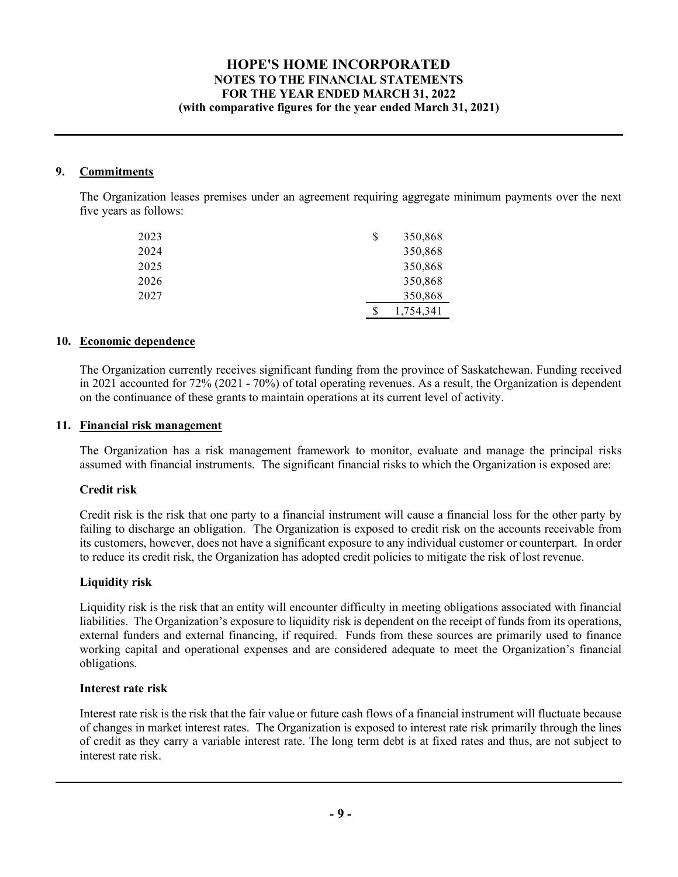#### **9. Commitments**

The Organization leases premises under an agreement requiring aggregate minimum payments over the next five years as follows:

| 2023 | S | 350,868   |
|------|---|-----------|
| 2024 |   | 350,868   |
| 2025 |   | 350,868   |
| 2026 |   | 350,868   |
| 2027 |   | 350,868   |
|      |   | 1,754,341 |

#### **10. Economic dependence**

 The Organization currently receives significant funding from the province of Saskatchewan. Funding received in 2021 accounted for 72% (2021 - 70%) of total operating revenues. As a result, the Organization is dependent on the continuance of these grants to maintain operations at its current level of activity.

#### **11. Financial risk management**

 The Organization has a risk management framework to monitor, evaluate and manage the principal risks assumed with financial instruments. The significant financial risks to which the Organization is exposed are:

#### **Credit risk**

 Credit risk is the risk that one party to a financial instrument will cause a financial loss for the other party by failing to discharge an obligation. The Organization is exposed to credit risk on the accounts receivable from its customers, however, does not have a significant exposure to any individual customer or counterpart. In order to reduce its credit risk, the Organization has adopted credit policies to mitigate the risk of lost revenue.

#### **Liquidity risk**

 Liquidity risk is the risk that an entity will encounter difficulty in meeting obligations associated with financial liabilities. The Organization's exposure to liquidity risk is dependent on the receipt of funds from its operations, external funders and external financing, if required. Funds from these sources are primarily used to finance working capital and operational expenses and are considered adequate to meet the Organization's financial obligations.

#### **Interest rate risk**

 Interest rate risk is the risk that the fair value or future cash flows of a financial instrument will fluctuate because of changes in market interest rates. The Organization is exposed to interest rate risk primarily through the lines of credit as they carry a variable interest rate. The long term debt is at fixed rates and thus, are not subject to interest rate risk.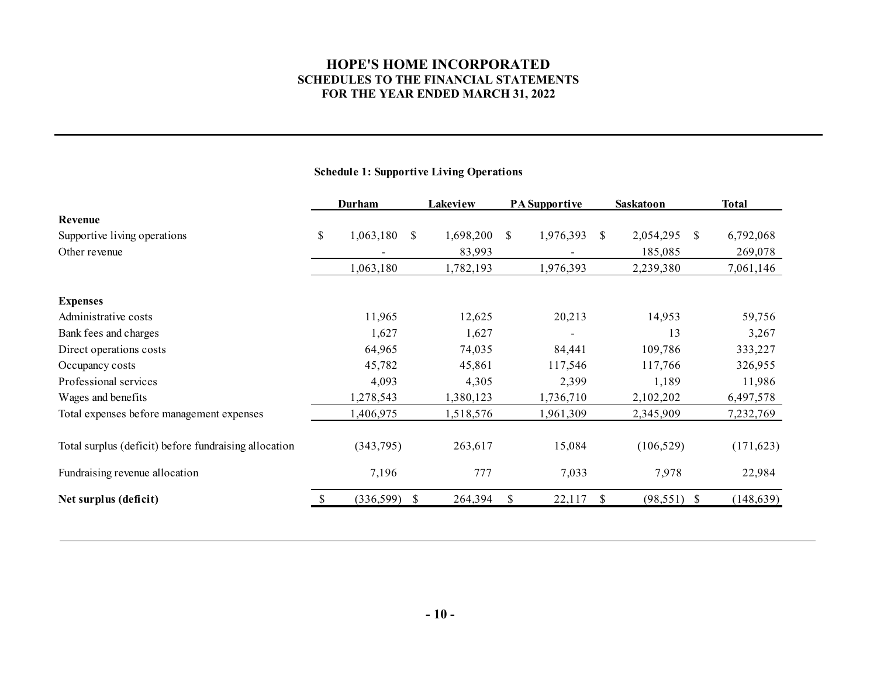# **HOPE'S HOME INCORPORATED SCHEDULES TO THE FINANCIAL STATEMENTS FOR THE YEAR ENDED MARCH 31, 2022**

|                                                       | Durham |            | Lakeview     |           | <b>PA</b> Supportive |                          | Saskatoon |               |              | <b>Total</b> |
|-------------------------------------------------------|--------|------------|--------------|-----------|----------------------|--------------------------|-----------|---------------|--------------|--------------|
| Revenue                                               |        |            |              |           |                      |                          |           |               |              |              |
| Supportive living operations                          | \$     | 1,063,180  | <sup>S</sup> | 1,698,200 | S.                   | 1,976,393                | S         | 2,054,295     | <sup>S</sup> | 6,792,068    |
| Other revenue                                         |        |            |              | 83,993    |                      |                          |           | 185,085       |              | 269,078      |
|                                                       |        | 1,063,180  |              | 1,782,193 |                      | 1,976,393                |           | 2,239,380     |              | 7,061,146    |
| <b>Expenses</b>                                       |        |            |              |           |                      |                          |           |               |              |              |
| Administrative costs                                  |        | 11,965     |              | 12,625    |                      | 20,213                   |           | 14,953        |              | 59,756       |
| Bank fees and charges                                 |        | 1,627      |              | 1,627     |                      | $\overline{\phantom{0}}$ |           | 13            |              | 3,267        |
| Direct operations costs                               |        | 64,965     |              | 74,035    |                      | 84,441                   |           | 109,786       |              | 333,227      |
| Occupancy costs                                       |        | 45,782     |              | 45,861    |                      | 117,546                  |           | 117,766       |              | 326,955      |
| Professional services                                 |        | 4,093      |              | 4,305     |                      | 2,399                    |           | 1,189         |              | 11,986       |
| Wages and benefits                                    |        | 278,543    |              | 1,380,123 |                      | 1,736,710                |           | 2,102,202     |              | 6,497,578    |
| Total expenses before management expenses             |        | ,406,975   |              | 1,518,576 |                      | 1,961,309                |           | 2,345,909     |              | 7,232,769    |
| Total surplus (deficit) before fundraising allocation |        | (343,795)  |              | 263,617   |                      | 15,084                   |           | (106, 529)    |              | (171, 623)   |
| Fundraising revenue allocation                        |        | 7,196      |              | 777       |                      | 7,033                    |           | 7,978         |              | 22,984       |
| Net surplus (deficit)                                 | S.     | (336, 599) | \$.          | 264,394   | S                    | 22,117                   | \$        | $(98,551)$ \$ |              | (148, 639)   |

# **Schedule 1: Supportive Living Operations**